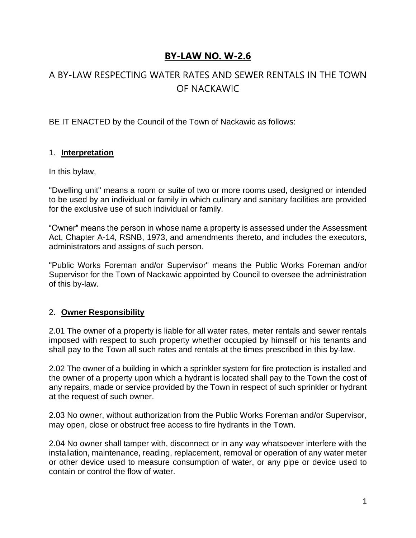# **BY-LAW NO. W-2.6**

# A BY-LAW RESPECTING WATER RATES AND SEWER RENTALS IN THE TOWN OF NACKAWIC

BE IT ENACTED by the Council of the Town of Nackawic as follows:

#### 1. **Interpretation**

In this bylaw,

"Dwelling unit" means a room or suite of two or more rooms used, designed or intended to be used by an individual or family in which culinary and sanitary facilities are provided for the exclusive use of such individual or family.

"Owner" means the person in whose name a property is assessed under the Assessment Act, Chapter A-14, RSNB, 1973, and amendments thereto, and includes the executors, administrators and assigns of such person.

"Public Works Foreman and/or Supervisor" means the Public Works Foreman and/or Supervisor for the Town of Nackawic appointed by Council to oversee the administration of this by-law.

#### 2. **Owner Responsibility**

2.01 The owner of a property is liable for all water rates, meter rentals and sewer rentals imposed with respect to such property whether occupied by himself or his tenants and shall pay to the Town all such rates and rentals at the times prescribed in this by-law.

2.02 The owner of a building in which a sprinkler system for fire protection is installed and the owner of a property upon which a hydrant is located shall pay to the Town the cost of any repairs, made or service provided by the Town in respect of such sprinkler or hydrant at the request of such owner.

2.03 No owner, without authorization from the Public Works Foreman and/or Supervisor, may open, close or obstruct free access to fire hydrants in the Town.

2.04 No owner shall tamper with, disconnect or in any way whatsoever interfere with the installation, maintenance, reading, replacement, removal or operation of any water meter or other device used to measure consumption of water, or any pipe or device used to contain or control the flow of water.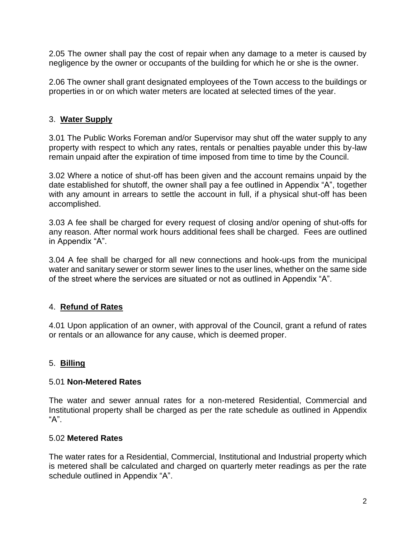2.05 The owner shall pay the cost of repair when any damage to a meter is caused by negligence by the owner or occupants of the building for which he or she is the owner.

2.06 The owner shall grant designated employees of the Town access to the buildings or properties in or on which water meters are located at selected times of the year.

#### 3. **Water Supply**

3.01 The Public Works Foreman and/or Supervisor may shut off the water supply to any property with respect to which any rates, rentals or penalties payable under this by-law remain unpaid after the expiration of time imposed from time to time by the Council.

3.02 Where a notice of shut-off has been given and the account remains unpaid by the date established for shutoff, the owner shall pay a fee outlined in Appendix "A", together with any amount in arrears to settle the account in full, if a physical shut-off has been accomplished.

3.03 A fee shall be charged for every request of closing and/or opening of shut-offs for any reason. After normal work hours additional fees shall be charged. Fees are outlined in Appendix "A".

3.04 A fee shall be charged for all new connections and hook-ups from the municipal water and sanitary sewer or storm sewer lines to the user lines, whether on the same side of the street where the services are situated or not as outlined in Appendix "A".

# 4. **Refund of Rates**

4.01 Upon application of an owner, with approval of the Council, grant a refund of rates or rentals or an allowance for any cause, which is deemed proper.

# 5. **Billing**

#### 5.01 **Non-Metered Rates**

The water and sewer annual rates for a non-metered Residential, Commercial and Institutional property shall be charged as per the rate schedule as outlined in Appendix "A".

#### 5.02 **Metered Rates**

The water rates for a Residential, Commercial, Institutional and Industrial property which is metered shall be calculated and charged on quarterly meter readings as per the rate schedule outlined in Appendix "A".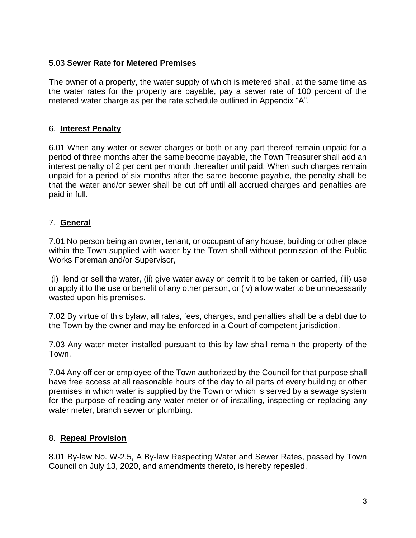#### 5.03 **Sewer Rate for Metered Premises**

The owner of a property, the water supply of which is metered shall, at the same time as the water rates for the property are payable, pay a sewer rate of 100 percent of the metered water charge as per the rate schedule outlined in Appendix "A".

#### 6. **Interest Penalty**

6.01 When any water or sewer charges or both or any part thereof remain unpaid for a period of three months after the same become payable, the Town Treasurer shall add an interest penalty of 2 per cent per month thereafter until paid. When such charges remain unpaid for a period of six months after the same become payable, the penalty shall be that the water and/or sewer shall be cut off until all accrued charges and penalties are paid in full.

#### 7. **General**

7.01 No person being an owner, tenant, or occupant of any house, building or other place within the Town supplied with water by the Town shall without permission of the Public Works Foreman and/or Supervisor,

(i) lend or sell the water, (ii) give water away or permit it to be taken or carried, (iii) use or apply it to the use or benefit of any other person, or (iv) allow water to be unnecessarily wasted upon his premises.

7.02 By virtue of this bylaw, all rates, fees, charges, and penalties shall be a debt due to the Town by the owner and may be enforced in a Court of competent jurisdiction.

7.03 Any water meter installed pursuant to this by-law shall remain the property of the Town.

7.04 Any officer or employee of the Town authorized by the Council for that purpose shall have free access at all reasonable hours of the day to all parts of every building or other premises in which water is supplied by the Town or which is served by a sewage system for the purpose of reading any water meter or of installing, inspecting or replacing any water meter, branch sewer or plumbing.

# 8. **Repeal Provision**

8.01 By-law No. W-2.5, A By-law Respecting Water and Sewer Rates, passed by Town Council on July 13, 2020, and amendments thereto, is hereby repealed.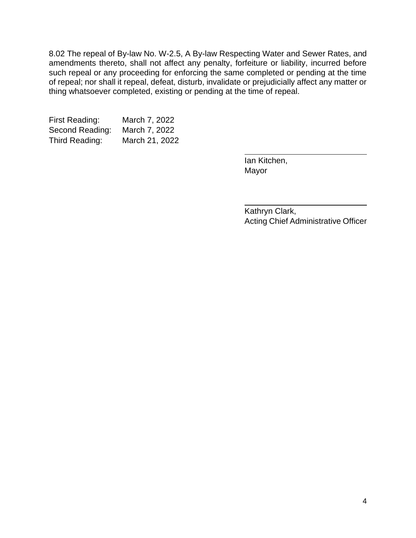8.02 The repeal of By-law No. W-2.5, A By-law Respecting Water and Sewer Rates, and amendments thereto, shall not affect any penalty, forfeiture or liability, incurred before such repeal or any proceeding for enforcing the same completed or pending at the time of repeal; nor shall it repeal, defeat, disturb, invalidate or prejudicially affect any matter or thing whatsoever completed, existing or pending at the time of repeal.

First Reading: March 7, 2022 Second Reading: March 7, 2022 Third Reading: March 21, 2022

> Ian Kitchen, Mayor

Kathryn Clark, Acting Chief Administrative Officer